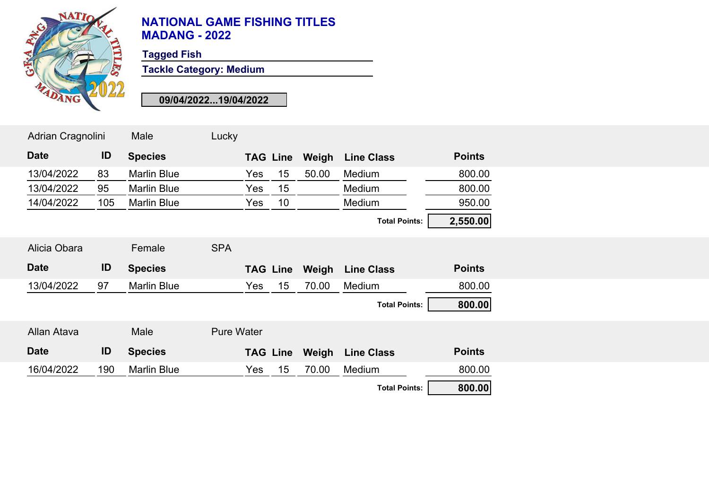

**Tagged Fish**

**Tackle Category: Medium**

| Adrian Cragnolini |     | Male               | Lucky             |     |                 |       |                                  |               |
|-------------------|-----|--------------------|-------------------|-----|-----------------|-------|----------------------------------|---------------|
| <b>Date</b>       | ID  | <b>Species</b>     |                   |     | <b>TAG Line</b> | Weigh | <b>Line Class</b>                | <b>Points</b> |
| 13/04/2022        | 83  | <b>Marlin Blue</b> |                   | Yes | 15              | 50.00 | Medium                           | 800.00        |
| 13/04/2022        | 95  | <b>Marlin Blue</b> |                   | Yes | 15              |       | Medium                           | 800.00        |
| 14/04/2022        | 105 | <b>Marlin Blue</b> |                   | Yes | 10              |       | Medium                           | 950.00        |
|                   |     |                    |                   |     |                 |       | <b>Total Points:</b>             | 2,550.00      |
| Alicia Obara      |     | Female             | <b>SPA</b>        |     |                 |       |                                  |               |
|                   |     |                    |                   |     |                 |       |                                  |               |
| <b>Date</b>       | ID  | <b>Species</b>     |                   |     | <b>TAG Line</b> | Weigh | <b>Line Class</b>                | <b>Points</b> |
| 13/04/2022        | 97  | <b>Marlin Blue</b> |                   | Yes | 15              | 70.00 | Medium                           | 800.00        |
|                   |     |                    |                   |     |                 |       | <b>Total Points:</b>             | 800.00        |
| Allan Atava       |     | Male               | <b>Pure Water</b> |     |                 |       |                                  |               |
| <b>Date</b>       | ID  | <b>Species</b>     |                   |     |                 |       | <b>TAG Line Weigh Line Class</b> | <b>Points</b> |
| 16/04/2022        | 190 | <b>Marlin Blue</b> |                   | Yes | 15              | 70.00 | Medium                           | 800.00        |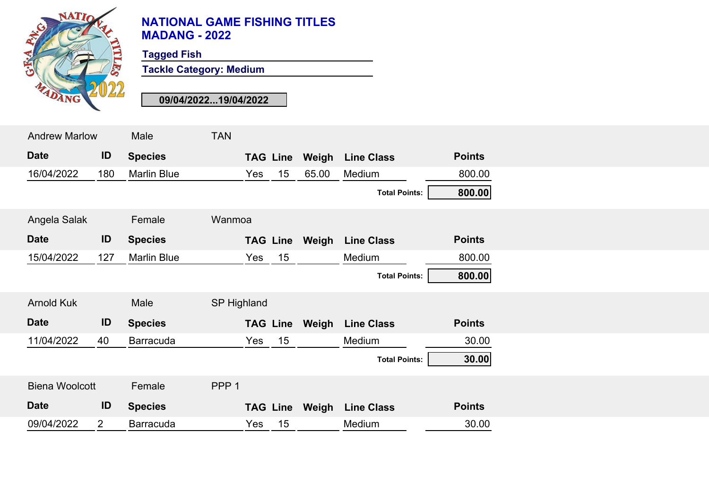

**Tagged Fish**

**Tackle Category: Medium**

| <b>Andrew Marlow</b>  |                | Male               | <b>TAN</b>         |     |                 |       |                      |               |  |
|-----------------------|----------------|--------------------|--------------------|-----|-----------------|-------|----------------------|---------------|--|
| <b>Date</b>           | ID             | <b>Species</b>     |                    |     | <b>TAG Line</b> | Weigh | <b>Line Class</b>    | <b>Points</b> |  |
| 16/04/2022            | 180            | <b>Marlin Blue</b> |                    | Yes | 15              | 65.00 | Medium               | 800.00        |  |
|                       |                |                    |                    |     |                 |       | <b>Total Points:</b> | 800.00        |  |
| Angela Salak          |                | Female             | Wanmoa             |     |                 |       |                      |               |  |
| <b>Date</b>           | ID             | <b>Species</b>     |                    |     | <b>TAG Line</b> | Weigh | <b>Line Class</b>    | <b>Points</b> |  |
| 15/04/2022            | 127            | <b>Marlin Blue</b> |                    | Yes | 15              |       | Medium               | 800.00        |  |
|                       |                |                    |                    |     |                 |       | <b>Total Points:</b> | 800.00        |  |
| <b>Arnold Kuk</b>     |                | Male               | <b>SP Highland</b> |     |                 |       |                      |               |  |
| <b>Date</b>           | ID             | <b>Species</b>     |                    |     | <b>TAG Line</b> | Weigh | <b>Line Class</b>    | <b>Points</b> |  |
| 11/04/2022            | 40             | <b>Barracuda</b>   |                    | Yes | 15              |       | Medium               | 30.00         |  |
|                       |                |                    |                    |     |                 |       | <b>Total Points:</b> | 30.00         |  |
| <b>Biena Woolcott</b> |                | Female             | PPP <sub>1</sub>   |     |                 |       |                      |               |  |
| <b>Date</b>           | ID             | <b>Species</b>     |                    |     | <b>TAG Line</b> | Weigh | <b>Line Class</b>    | <b>Points</b> |  |
| 09/04/2022            | $\overline{2}$ | <b>Barracuda</b>   |                    | Yes | 15              |       | Medium               | 30.00         |  |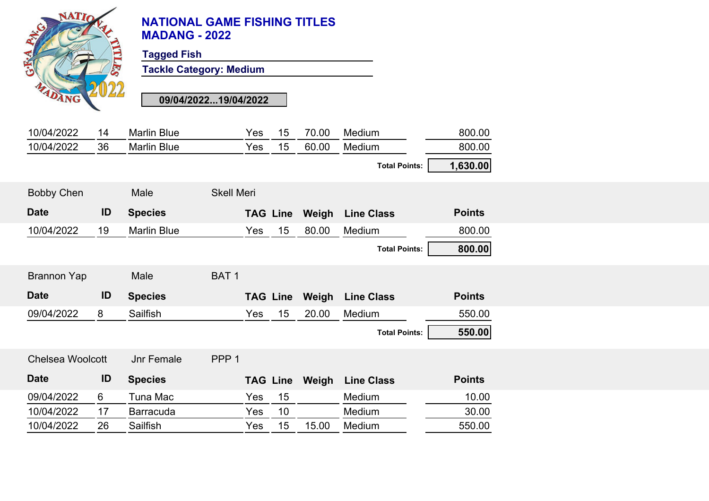| <b>NATIC</b>            | TELES | <b>NATIONAL GAME FISHING TITLES</b><br><b>MADANG - 2022</b><br><b>Tagged Fish</b><br><b>Tackle Category: Medium</b><br>09/04/202219/04/2022 |                   |                 |    |       |                         |               |
|-------------------------|-------|---------------------------------------------------------------------------------------------------------------------------------------------|-------------------|-----------------|----|-------|-------------------------|---------------|
| 10/04/2022              | 14    | <b>Marlin Blue</b>                                                                                                                          |                   | Yes             | 15 | 70.00 | Medium                  | 800.00        |
| 10/04/2022              | 36    | <b>Marlin Blue</b>                                                                                                                          |                   | Yes             | 15 | 60.00 | Medium                  | 800.00        |
|                         |       |                                                                                                                                             |                   |                 |    |       | <b>Total Points:</b>    | 1,630.00      |
| <b>Bobby Chen</b>       |       | Male                                                                                                                                        | <b>Skell Meri</b> |                 |    |       |                         |               |
| <b>Date</b>             | ID    | <b>Species</b>                                                                                                                              |                   | <b>TAG Line</b> |    | Weigh | <b>Line Class</b>       | <b>Points</b> |
| 10/04/2022              | 19    | <b>Marlin Blue</b>                                                                                                                          |                   | Yes             | 15 | 80.00 | Medium                  | 800.00        |
|                         |       |                                                                                                                                             |                   |                 |    |       | <b>Total Points:</b>    | 800.00        |
| <b>Brannon Yap</b>      |       | Male                                                                                                                                        | BAT <sub>1</sub>  |                 |    |       |                         |               |
| <b>Date</b>             | ID    | <b>Species</b>                                                                                                                              |                   | <b>TAG Line</b> |    |       | <b>Weigh</b> Line Class | <b>Points</b> |
| 09/04/2022<br>8         |       | Sailfish                                                                                                                                    |                   | Yes             | 15 | 20.00 | Medium                  | 550.00        |
|                         |       |                                                                                                                                             |                   |                 |    |       | <b>Total Points:</b>    | 550.00        |
| <b>Chelsea Woolcott</b> |       | <b>Jnr Female</b>                                                                                                                           | PPP <sub>1</sub>  |                 |    |       |                         |               |
| <b>Date</b>             | ID    | <b>Species</b>                                                                                                                              |                   | <b>TAG Line</b> |    |       | <b>Weigh</b> Line Class | <b>Points</b> |
| 09/04/2022<br>6         |       | Tuna Mac                                                                                                                                    |                   | Yes             | 15 |       | Medium                  | 10.00         |
| 10/04/2022              | 17    | <b>Barracuda</b>                                                                                                                            |                   | Yes             | 10 |       | Medium                  | 30.00         |
| 10/04/2022              | 26    | Sailfish                                                                                                                                    |                   | Yes             | 15 | 15.00 | Medium                  | 550.00        |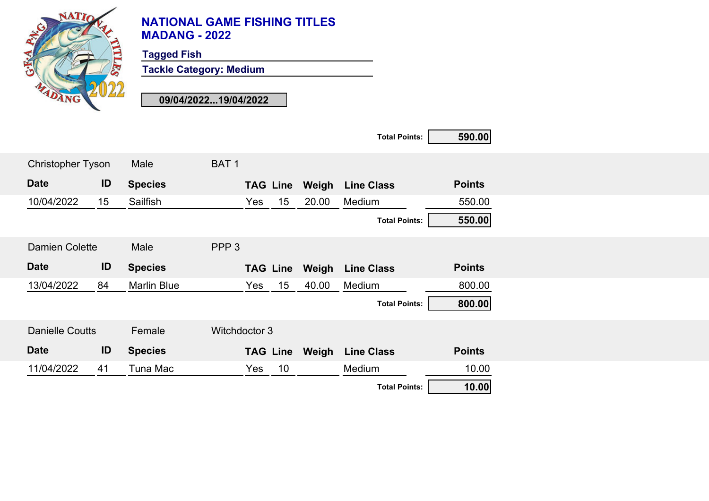

**Tagged Fish**

**Tackle Category: Medium**

|                          |    |                    |                  |                 |                 |       | <b>Total Points:</b> | 590.00        |
|--------------------------|----|--------------------|------------------|-----------------|-----------------|-------|----------------------|---------------|
| <b>Christopher Tyson</b> |    | Male               | BAT <sub>1</sub> |                 |                 |       |                      |               |
| <b>Date</b>              | ID | <b>Species</b>     |                  |                 | <b>TAG Line</b> | Weigh | <b>Line Class</b>    | <b>Points</b> |
| 10/04/2022               | 15 | Sailfish           |                  | Yes             | 15              | 20.00 | Medium               | 550.00        |
|                          |    |                    |                  |                 |                 |       | <b>Total Points:</b> | 550.00        |
| <b>Damien Colette</b>    |    | Male               | PPP <sub>3</sub> |                 |                 |       |                      |               |
|                          |    |                    |                  |                 |                 |       |                      |               |
| <b>Date</b>              | ID | <b>Species</b>     |                  | <b>TAG Line</b> |                 | Weigh | <b>Line Class</b>    | <b>Points</b> |
| 13/04/2022               | 84 | <b>Marlin Blue</b> |                  | Yes             | 15              | 40.00 | Medium               | 800.00        |
|                          |    |                    |                  |                 |                 |       | <b>Total Points:</b> | 800.00        |
| <b>Danielle Coutts</b>   |    | Female             | Witchdoctor 3    |                 |                 |       |                      |               |
| <b>Date</b>              | ID | <b>Species</b>     |                  | <b>TAG Line</b> |                 | Weigh | <b>Line Class</b>    | <b>Points</b> |
| 11/04/2022               | 41 | Tuna Mac           |                  | Yes             | 10              |       | Medium               | 10.00         |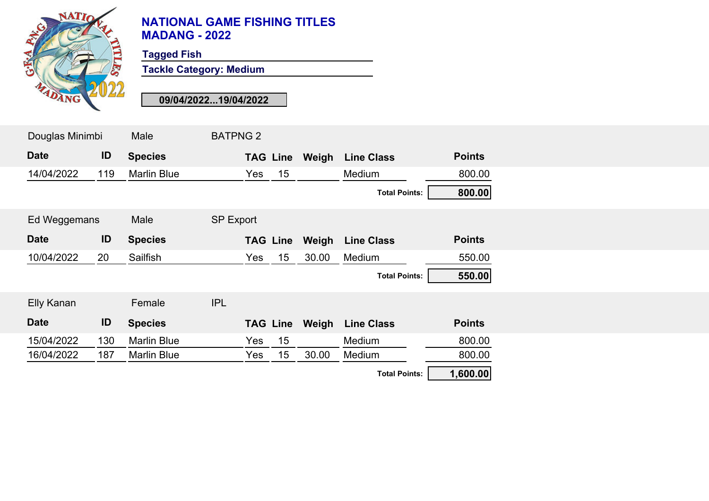

**Tagged Fish**

**Tackle Category: Medium**

| Douglas Minimbi |     | Male               | <b>BATPNG 2</b>  |     |                 |       |                      |               |
|-----------------|-----|--------------------|------------------|-----|-----------------|-------|----------------------|---------------|
| <b>Date</b>     | ID  | <b>Species</b>     |                  |     | <b>TAG Line</b> | Weigh | <b>Line Class</b>    | <b>Points</b> |
| 14/04/2022      | 119 | <b>Marlin Blue</b> |                  | Yes | 15              |       | Medium               | 800.00        |
|                 |     |                    |                  |     |                 |       | <b>Total Points:</b> | 800.00        |
| Ed Weggemans    |     | Male               | <b>SP Export</b> |     |                 |       |                      |               |
| <b>Date</b>     | ID  | <b>Species</b>     |                  |     | <b>TAG Line</b> | Weigh | <b>Line Class</b>    | <b>Points</b> |
| 10/04/2022      | 20  | Sailfish           |                  | Yes | 15              | 30.00 | Medium               | 550.00        |
|                 |     |                    |                  |     |                 |       | <b>Total Points:</b> | 550.00        |
| Elly Kanan      |     | Female             | <b>IPL</b>       |     |                 |       |                      |               |
| <b>Date</b>     | ID  | <b>Species</b>     |                  |     | <b>TAG Line</b> | Weigh | <b>Line Class</b>    | <b>Points</b> |
| 15/04/2022      | 130 | <b>Marlin Blue</b> |                  | Yes | 15              |       | Medium               | 800.00        |
| 16/04/2022      | 187 | <b>Marlin Blue</b> |                  | Yes | 15              | 30.00 | Medium               | 800.00        |
|                 |     |                    |                  |     |                 |       | <b>Total Points:</b> | 1,600.00      |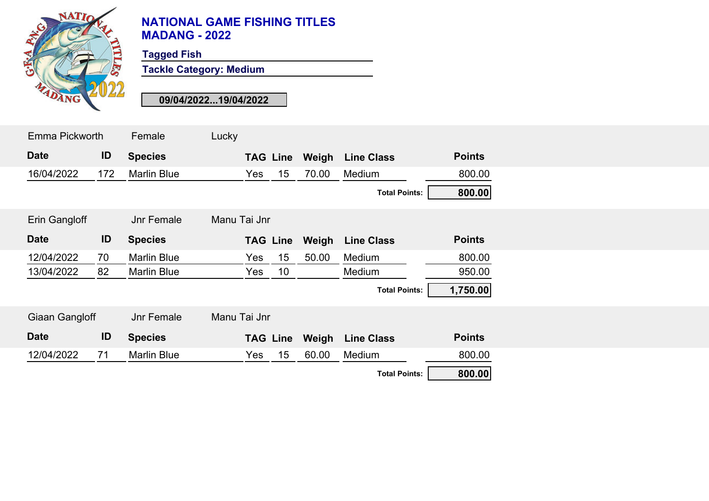

**Tagged Fish**

**Tackle Category: Medium**

| Emma Pickworth |     | Female             | Lucky        |     |                 |                       |                      |               |  |
|----------------|-----|--------------------|--------------|-----|-----------------|-----------------------|----------------------|---------------|--|
| <b>Date</b>    | ID  | <b>Species</b>     |              |     |                 | <b>TAG Line Weigh</b> | <b>Line Class</b>    | <b>Points</b> |  |
| 16/04/2022     | 172 | <b>Marlin Blue</b> |              | Yes | 15 <sub>1</sub> | 70.00                 | Medium               | 800.00        |  |
|                |     |                    |              |     |                 |                       | <b>Total Points:</b> | 800.00        |  |
| Erin Gangloff  |     | <b>Jnr Female</b>  | Manu Tai Jnr |     |                 |                       |                      |               |  |
| <b>Date</b>    | ID  | <b>Species</b>     |              |     |                 | <b>TAG Line Weigh</b> | <b>Line Class</b>    | <b>Points</b> |  |
| 12/04/2022     | 70  | <b>Marlin Blue</b> |              | Yes | 15 <sub>1</sub> | 50.00                 | Medium               | 800.00        |  |
| 13/04/2022     | 82  | <b>Marlin Blue</b> |              | Yes | 10              |                       | Medium               | 950.00        |  |
|                |     |                    |              |     |                 |                       | <b>Total Points:</b> | 1,750.00      |  |
| Giaan Gangloff |     | <b>Jnr Female</b>  | Manu Tai Jnr |     |                 |                       |                      |               |  |
| <b>Date</b>    | ID  | <b>Species</b>     |              |     | <b>TAG Line</b> | Weigh                 | <b>Line Class</b>    | <b>Points</b> |  |
| 12/04/2022     | 71  | <b>Marlin Blue</b> |              | Yes | 15 <sub>1</sub> | 60.00                 | Medium               | 800.00        |  |
|                |     |                    |              |     |                 |                       | <b>Total Points:</b> | 800.00        |  |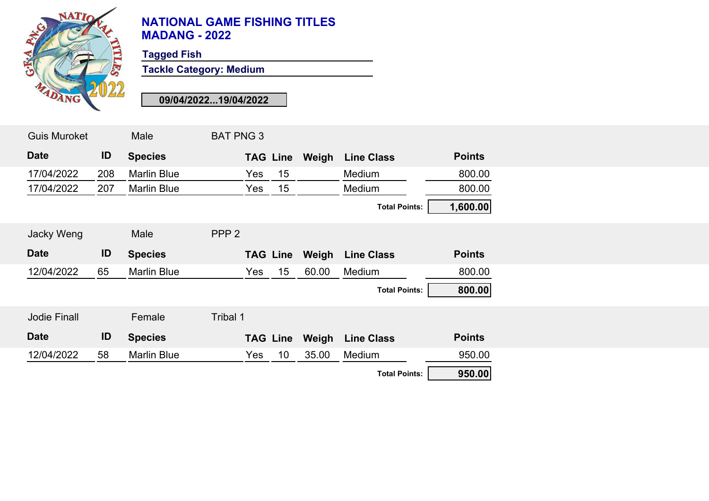

**Tagged Fish**

**Tackle Category: Medium**

| <b>Guis Muroket</b> |     | Male               | <b>BAT PNG 3</b> |             |                      |               |
|---------------------|-----|--------------------|------------------|-------------|----------------------|---------------|
| <b>Date</b>         | ID  | <b>Species</b>     | <b>TAG Line</b>  | Weigh       | <b>Line Class</b>    | <b>Points</b> |
| 17/04/2022          | 208 | <b>Marlin Blue</b> | Yes              | 15          | Medium               | 800.00        |
| 17/04/2022          | 207 | <b>Marlin Blue</b> | Yes              | 15          | Medium               | 800.00        |
|                     |     |                    |                  |             | <b>Total Points:</b> | 1,600.00      |
| <b>Jacky Weng</b>   |     | Male               | PPP <sub>2</sub> |             |                      |               |
| <b>Date</b>         | ID  | <b>Species</b>     | <b>TAG Line</b>  | Weigh       | <b>Line Class</b>    | <b>Points</b> |
| 12/04/2022          | 65  | <b>Marlin Blue</b> | Yes              | 15<br>60.00 | Medium               | 800.00        |
|                     |     |                    |                  |             | <b>Total Points:</b> | 800.00        |
| <b>Jodie Finall</b> |     | Female             | Tribal 1         |             |                      |               |
| <b>Date</b>         | ID  | <b>Species</b>     | <b>TAG Line</b>  | Weigh       | <b>Line Class</b>    | <b>Points</b> |
| 12/04/2022          | 58  | <b>Marlin Blue</b> | Yes              | 10<br>35.00 | Medium               | 950.00        |
|                     |     |                    |                  |             | <b>Total Points:</b> | 950.00        |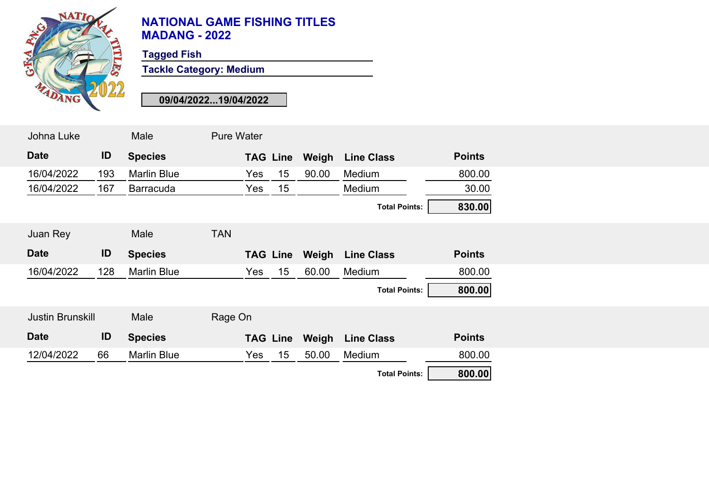

**Tagged Fish**

**Tackle Category: Medium**

| Johna Luke              |     | Male               | <b>Pure Water</b> |     |                 |       |                      |               |
|-------------------------|-----|--------------------|-------------------|-----|-----------------|-------|----------------------|---------------|
| <b>Date</b>             | ID  | <b>Species</b>     |                   |     | <b>TAG Line</b> | Weigh | <b>Line Class</b>    | <b>Points</b> |
| 16/04/2022              | 193 | <b>Marlin Blue</b> |                   | Yes | 15              | 90.00 | Medium               | 800.00        |
| 16/04/2022              | 167 | <b>Barracuda</b>   |                   | Yes | 15              |       | Medium               | 30.00         |
|                         |     |                    |                   |     |                 |       | <b>Total Points:</b> | 830.00        |
| Juan Rey                |     | Male               | <b>TAN</b>        |     |                 |       |                      |               |
| <b>Date</b>             | ID  | <b>Species</b>     |                   |     | <b>TAG Line</b> | Weigh | <b>Line Class</b>    | <b>Points</b> |
| 16/04/2022              | 128 | <b>Marlin Blue</b> |                   | Yes | 15              | 60.00 | Medium               | 800.00        |
|                         |     |                    |                   |     |                 |       | <b>Total Points:</b> | 800.00        |
| <b>Justin Brunskill</b> |     | Male               | Rage On           |     |                 |       |                      |               |
| <b>Date</b>             | ID  | <b>Species</b>     |                   |     | <b>TAG Line</b> | Weigh | <b>Line Class</b>    | <b>Points</b> |
| 12/04/2022              | 66  | <b>Marlin Blue</b> |                   | Yes | 15              | 50.00 | Medium               | 800.00        |
|                         |     |                    |                   |     |                 |       | <b>Total Points:</b> | 800.00        |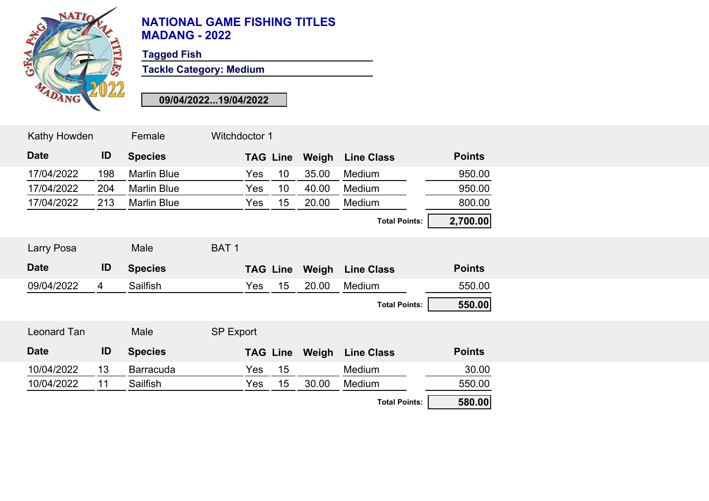

**Tagged Fish**

**Tackle Category: Medium**

| Kathy Howden |                | Female             | Witchdoctor 1    |                 |       |                      |               |
|--------------|----------------|--------------------|------------------|-----------------|-------|----------------------|---------------|
| <b>Date</b>  | ID             | <b>Species</b>     |                  | <b>TAG Line</b> | Weigh | <b>Line Class</b>    | <b>Points</b> |
| 17/04/2022   | 198            | <b>Marlin Blue</b> | Yes              | 10 <sup>°</sup> | 35.00 | Medium               | 950.00        |
| 17/04/2022   | 204            | <b>Marlin Blue</b> | Yes              | 10 <sup>°</sup> | 40.00 | Medium               | 950.00        |
| 17/04/2022   | 213            | <b>Marlin Blue</b> | Yes              | 15              | 20.00 | Medium               | 800.00        |
|              |                |                    |                  |                 |       | <b>Total Points:</b> | 2,700.00      |
| Larry Posa   |                | Male               | BAT <sub>1</sub> |                 |       |                      |               |
| <b>Date</b>  | ID             | <b>Species</b>     |                  | <b>TAG Line</b> | Weigh | <b>Line Class</b>    | <b>Points</b> |
| 09/04/2022   | $\overline{4}$ | Sailfish           | Yes              | 15              | 20.00 | Medium               | 550.00        |
|              |                |                    |                  |                 |       | <b>Total Points:</b> | 550.00        |
| Leonard Tan  |                | Male               | <b>SP Export</b> |                 |       |                      |               |
| <b>Date</b>  | ID             | <b>Species</b>     |                  | <b>TAG Line</b> | Weigh | <b>Line Class</b>    | <b>Points</b> |
| 10/04/2022   | 13             | <b>Barracuda</b>   | Yes              | 15              |       | Medium               | 30.00         |
| 10/04/2022   | 11             | Sailfish           | Yes              | 15              | 30.00 | Medium               | 550.00        |
|              |                |                    |                  |                 |       | <b>Total Points:</b> | 580.00        |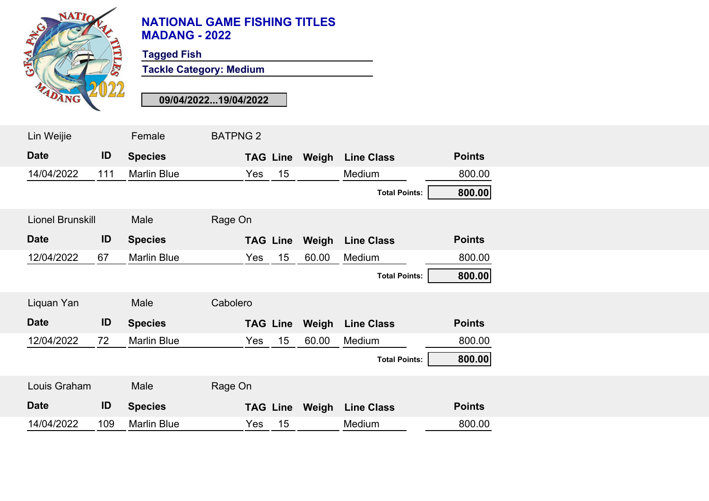

**Tagged Fish**

**Tackle Category: Medium**

| Lin Weijie       |     | Female             | <b>BATPNG 2</b> |                 |                       |                      |               |
|------------------|-----|--------------------|-----------------|-----------------|-----------------------|----------------------|---------------|
| <b>Date</b>      | ID  | <b>Species</b>     |                 |                 | <b>TAG Line Weigh</b> | <b>Line Class</b>    | <b>Points</b> |
| 14/04/2022       | 111 | <b>Marlin Blue</b> | Yes             | 15              |                       | Medium               | 800.00        |
|                  |     |                    |                 |                 |                       | <b>Total Points:</b> | 800.00        |
| Lionel Brunskill |     | Male               | Rage On         |                 |                       |                      |               |
| <b>Date</b>      | ID  | <b>Species</b>     |                 | <b>TAG Line</b> | Weigh                 | <b>Line Class</b>    | <b>Points</b> |
| 12/04/2022       | 67  | <b>Marlin Blue</b> | Yes             | 15              | 60.00                 | Medium               | 800.00        |
|                  |     |                    |                 |                 |                       | <b>Total Points:</b> | 800.00        |
| Liquan Yan       |     | Male               | Cabolero        |                 |                       |                      |               |
| <b>Date</b>      | ID  | <b>Species</b>     |                 | <b>TAG Line</b> | Weigh                 | <b>Line Class</b>    | <b>Points</b> |
| 12/04/2022       | 72  | <b>Marlin Blue</b> | Yes             | 15              | 60.00                 | Medium               | 800.00        |
|                  |     |                    |                 |                 |                       | <b>Total Points:</b> | 800.00        |
| Louis Graham     |     | Male               | Rage On         |                 |                       |                      |               |
| <b>Date</b>      | ID  | <b>Species</b>     |                 |                 | <b>TAG Line Weigh</b> | <b>Line Class</b>    | <b>Points</b> |
| 14/04/2022       | 109 | <b>Marlin Blue</b> | Yes             | 15              |                       | Medium               | 800.00        |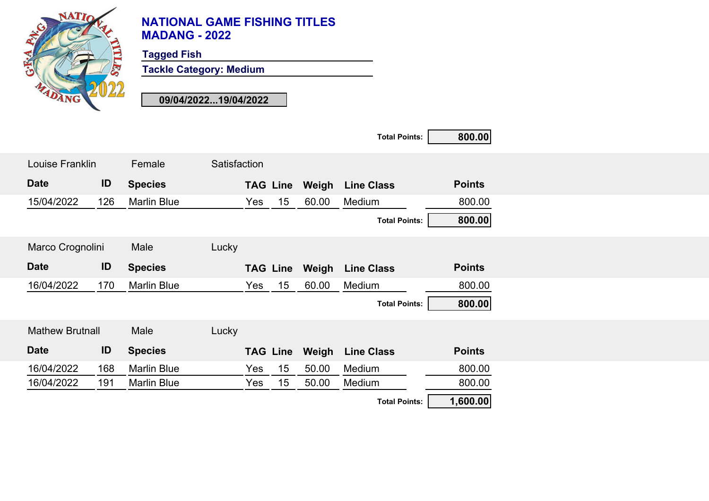

**Tagged Fish**

**Tackle Category: Medium**

|                        |     |                    |              |     |                 |       | <b>Total Points:</b> | 800.00        |
|------------------------|-----|--------------------|--------------|-----|-----------------|-------|----------------------|---------------|
| Louise Franklin        |     | Female             | Satisfaction |     |                 |       |                      |               |
| <b>Date</b>            | ID  | <b>Species</b>     |              |     | <b>TAG Line</b> | Weigh | <b>Line Class</b>    | <b>Points</b> |
| 15/04/2022             | 126 | <b>Marlin Blue</b> |              | Yes | 15              | 60.00 | Medium               | 800.00        |
|                        |     |                    |              |     |                 |       | <b>Total Points:</b> | 800.00        |
| Marco Crognolini       |     | Male               | Lucky        |     |                 |       |                      |               |
| <b>Date</b>            | ID  | <b>Species</b>     |              |     | <b>TAG Line</b> | Weigh | <b>Line Class</b>    | <b>Points</b> |
| 16/04/2022             | 170 | <b>Marlin Blue</b> |              | Yes | 15              | 60.00 | Medium               | 800.00        |
|                        |     |                    |              |     |                 |       | <b>Total Points:</b> | 800.00        |
| <b>Mathew Brutnall</b> |     | Male               | Lucky        |     |                 |       |                      |               |
| <b>Date</b>            | ID  | <b>Species</b>     |              |     | <b>TAG Line</b> | Weigh | <b>Line Class</b>    | <b>Points</b> |
| 16/04/2022             | 168 | <b>Marlin Blue</b> |              | Yes | 15              | 50.00 | Medium               | 800.00        |
| 16/04/2022             | 191 | <b>Marlin Blue</b> |              | Yes | 15              | 50.00 | Medium               | 800.00        |
|                        |     |                    |              |     |                 |       | <b>Total Points:</b> | 1,600.00      |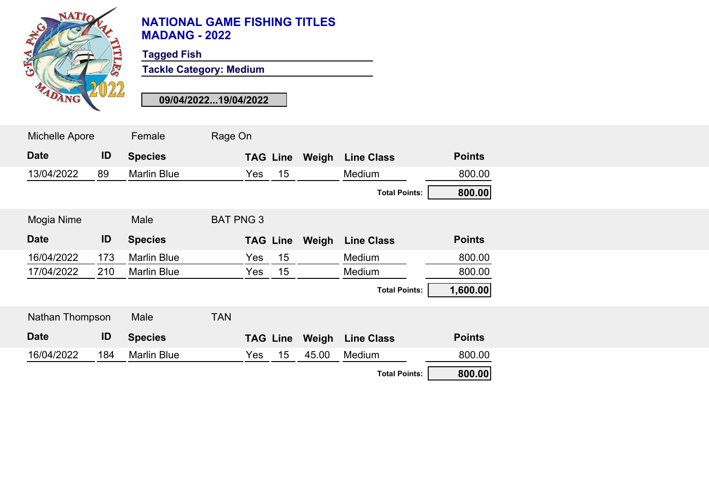

**Tagged Fish**

**Tackle Category: Medium**

| Michelle Apore  |     | Female             | Rage On          |                 |       |                      |               |  |
|-----------------|-----|--------------------|------------------|-----------------|-------|----------------------|---------------|--|
| <b>Date</b>     | ID  | <b>Species</b>     |                  | <b>TAG Line</b> | Weigh | <b>Line Class</b>    | <b>Points</b> |  |
| 13/04/2022      | 89  | <b>Marlin Blue</b> |                  | 15<br>Yes       |       | Medium               | 800.00        |  |
|                 |     |                    |                  |                 |       | <b>Total Points:</b> | 800.00        |  |
| Mogia Nime      |     | Male               | <b>BAT PNG 3</b> |                 |       |                      |               |  |
| <b>Date</b>     | ID  | <b>Species</b>     |                  | <b>TAG Line</b> | Weigh | <b>Line Class</b>    | <b>Points</b> |  |
| 16/04/2022      | 173 | <b>Marlin Blue</b> |                  | 15<br>Yes       |       | Medium               | 800.00        |  |
| 17/04/2022      | 210 | <b>Marlin Blue</b> |                  | 15<br>Yes       |       | Medium               | 800.00        |  |
|                 |     |                    |                  |                 |       | <b>Total Points:</b> | 1,600.00      |  |
| Nathan Thompson |     | Male               | <b>TAN</b>       |                 |       |                      |               |  |
| <b>Date</b>     | ID  | <b>Species</b>     |                  | <b>TAG Line</b> | Weigh | <b>Line Class</b>    | <b>Points</b> |  |
| 16/04/2022      | 184 | <b>Marlin Blue</b> |                  | 15<br>Yes       | 45.00 | Medium               | 800.00        |  |
|                 |     |                    |                  |                 |       | <b>Total Points:</b> | 800.00        |  |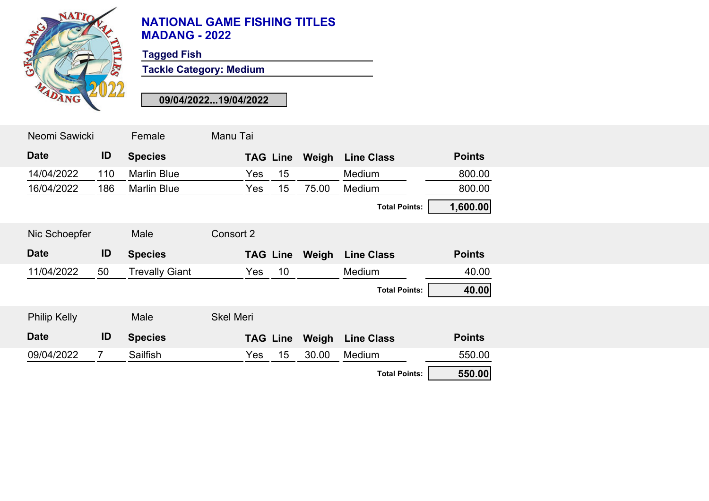

**Tagged Fish**

**Tackle Category: Medium**

| Neomi Sawicki       |                | Female                | Manu Tai         |                 |       |                      |               |
|---------------------|----------------|-----------------------|------------------|-----------------|-------|----------------------|---------------|
| <b>Date</b>         | ID             | <b>Species</b>        |                  | <b>TAG Line</b> | Weigh | <b>Line Class</b>    | <b>Points</b> |
| 14/04/2022          | 110            | <b>Marlin Blue</b>    | <b>Yes</b>       | 15              |       | Medium               | 800.00        |
| 16/04/2022          | 186            | <b>Marlin Blue</b>    | Yes              | 15              | 75.00 | Medium               | 800.00        |
|                     |                |                       |                  |                 |       | <b>Total Points:</b> | 1,600.00      |
| Nic Schoepfer       |                | Male                  | Consort 2        |                 |       |                      |               |
| <b>Date</b>         | ID             | <b>Species</b>        |                  | <b>TAG Line</b> | Weigh | <b>Line Class</b>    | <b>Points</b> |
| 11/04/2022          | 50             | <b>Trevally Giant</b> | Yes              | 10              |       | Medium               | 40.00         |
|                     |                |                       |                  |                 |       | <b>Total Points:</b> | 40.00         |
| <b>Philip Kelly</b> |                | Male                  | <b>Skel Meri</b> |                 |       |                      |               |
| <b>Date</b>         | ID             | <b>Species</b>        |                  | <b>TAG Line</b> | Weigh | <b>Line Class</b>    | <b>Points</b> |
| 09/04/2022          | $\overline{7}$ | Sailfish              | Yes              | 15              | 30.00 | Medium               | 550.00        |
|                     |                |                       |                  |                 |       | <b>Total Points:</b> | 550.00        |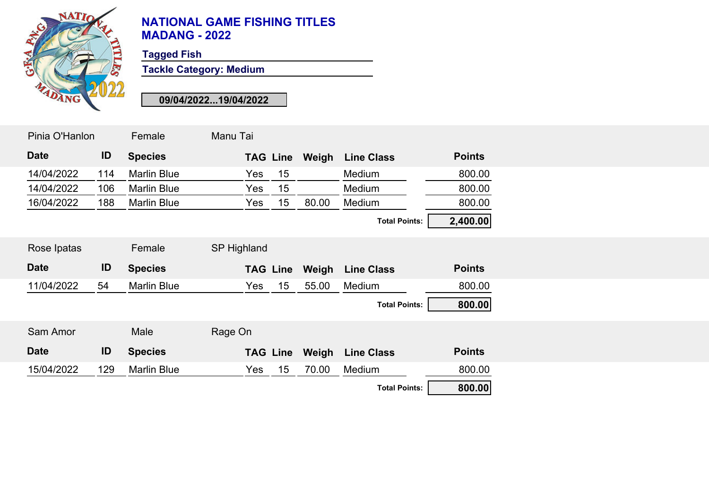

**Tagged Fish**

**Tackle Category: Medium**

| Pinia O'Hanlon |     | Female             | Manu Tai    |                 |       |                      |               |
|----------------|-----|--------------------|-------------|-----------------|-------|----------------------|---------------|
| <b>Date</b>    | ID  | <b>Species</b>     |             | <b>TAG Line</b> | Weigh | <b>Line Class</b>    | <b>Points</b> |
| 14/04/2022     | 114 | <b>Marlin Blue</b> | Yes         | 15              |       | Medium               | 800.00        |
| 14/04/2022     | 106 | <b>Marlin Blue</b> | Yes         | 15              |       | Medium               | 800.00        |
| 16/04/2022     | 188 | <b>Marlin Blue</b> | Yes         | 15              | 80.00 | Medium               | 800.00        |
|                |     |                    |             |                 |       | <b>Total Points:</b> | 2,400.00      |
| Rose Ipatas    |     | Female             | SP Highland |                 |       |                      |               |
| <b>Date</b>    | ID  | <b>Species</b>     |             | <b>TAG Line</b> | Weigh | <b>Line Class</b>    | <b>Points</b> |
|                |     |                    |             |                 |       |                      |               |
| 11/04/2022     | 54  | <b>Marlin Blue</b> | Yes         | 15              | 55.00 | Medium               | 800.00        |
|                |     |                    |             |                 |       | <b>Total Points:</b> | 800.00        |
| Sam Amor       |     | Male               | Rage On     |                 |       |                      |               |
| <b>Date</b>    | ID  | <b>Species</b>     |             | <b>TAG Line</b> | Weigh | <b>Line Class</b>    | <b>Points</b> |
| 15/04/2022     | 129 | <b>Marlin Blue</b> | Yes         | 15              | 70.00 | Medium               | 800.00        |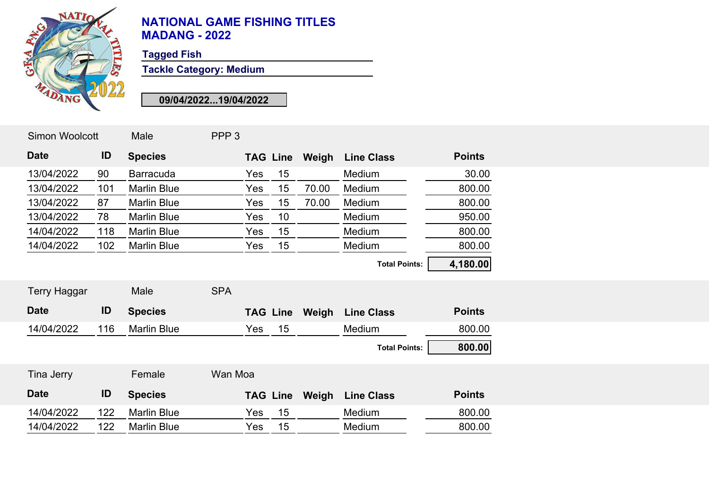

**Tagged Fish**

**Tackle Category: Medium**

| <b>Simon Woolcott</b> |     | Male               | PPP <sub>3</sub> |     |                 |       |                      |               |
|-----------------------|-----|--------------------|------------------|-----|-----------------|-------|----------------------|---------------|
| <b>Date</b>           | ID  | <b>Species</b>     |                  |     | <b>TAG Line</b> | Weigh | <b>Line Class</b>    | <b>Points</b> |
| 13/04/2022            | 90  | <b>Barracuda</b>   |                  | Yes | 15              |       | Medium               | 30.00         |
| 13/04/2022            | 101 | <b>Marlin Blue</b> |                  | Yes | 15              | 70.00 | Medium               | 800.00        |
| 13/04/2022            | 87  | <b>Marlin Blue</b> |                  | Yes | 15              | 70.00 | Medium               | 800.00        |
| 13/04/2022            | 78  | <b>Marlin Blue</b> |                  | Yes | 10              |       | Medium               | 950.00        |
| 14/04/2022            | 118 | <b>Marlin Blue</b> |                  | Yes | 15              |       | Medium               | 800.00        |
| 14/04/2022            | 102 | <b>Marlin Blue</b> |                  | Yes | 15              |       | Medium               | 800.00        |
|                       |     |                    |                  |     |                 |       | <b>Total Points:</b> | 4,180.00      |
| <b>Terry Haggar</b>   |     | Male               | <b>SPA</b>       |     |                 |       |                      |               |
| <b>Date</b>           | ID  | <b>Species</b>     |                  |     | <b>TAG Line</b> | Weigh | <b>Line Class</b>    | <b>Points</b> |
| 14/04/2022            | 116 | <b>Marlin Blue</b> |                  | Yes | 15              |       | Medium               | 800.00        |
|                       |     |                    |                  |     |                 |       | <b>Total Points:</b> | 800.00        |
| Tina Jerry            |     | Female             | Wan Moa          |     |                 |       |                      |               |
| <b>Date</b>           | ID  | <b>Species</b>     |                  |     | <b>TAG Line</b> | Weigh | <b>Line Class</b>    | <b>Points</b> |
| 14/04/2022            | 122 | <b>Marlin Blue</b> |                  | Yes | 15              |       | Medium               | 800.00        |
| 14/04/2022            | 122 | <b>Marlin Blue</b> |                  | Yes | 15              |       | Medium               | 800.00        |